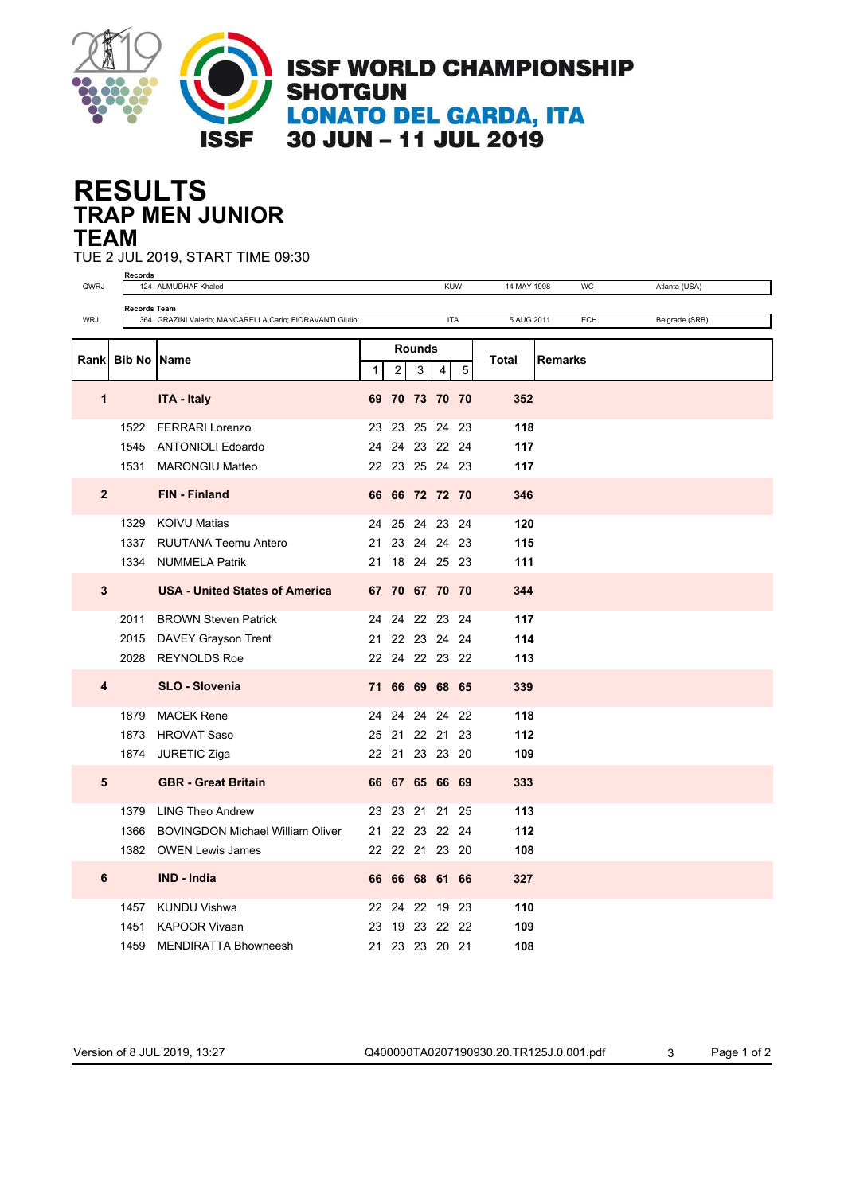

## **TRAP MEN JUNIOR RESULTS TEAM**

TUE 2 JUL 2019, START TIME 09:30

|                | <b>Records</b><br><b>KUW</b> |                                                           |                                    |                |   |                |   |              |                |     |                |
|----------------|------------------------------|-----------------------------------------------------------|------------------------------------|----------------|---|----------------|---|--------------|----------------|-----|----------------|
| QWRJ           |                              | 124 ALMUDHAF Khaled                                       | Atlanta (USA)<br>14 MAY 1998<br>WC |                |   |                |   |              |                |     |                |
| <b>WRJ</b>     | <b>Records Team</b>          | 364 GRAZINI Valerio; MANCARELLA Carlo; FIORAVANTI Giulio; | <b>ITA</b>                         |                |   |                |   | 5 AUG 2011   |                | ECH | Belgrade (SRB) |
|                |                              |                                                           |                                    |                |   |                |   |              |                |     |                |
|                |                              |                                                           | <b>Rounds</b>                      |                |   |                |   |              |                |     |                |
|                | Rank Bib No Name             |                                                           | 1                                  | $\overline{2}$ | 3 | 4              | 5 | <b>Total</b> | <b>Remarks</b> |     |                |
|                |                              |                                                           |                                    |                |   |                |   |              |                |     |                |
| 1              |                              | <b>ITA - Italy</b>                                        |                                    |                |   | 69 70 73 70 70 |   | 352          |                |     |                |
|                | 1522                         | <b>FERRARI Lorenzo</b>                                    |                                    |                |   | 23 23 25 24 23 |   | 118          |                |     |                |
|                | 1545                         | <b>ANTONIOLI Edoardo</b>                                  |                                    |                |   | 24 24 23 22 24 |   | 117          |                |     |                |
|                |                              | <b>MARONGIU Matteo</b>                                    |                                    |                |   | 22 23 25 24 23 |   | 117          |                |     |                |
|                | 1531                         |                                                           |                                    |                |   |                |   |              |                |     |                |
| $\overline{2}$ |                              | FIN - Finland                                             |                                    |                |   | 66 66 72 72 70 |   | 346          |                |     |                |
|                | 1329                         | <b>KOIVU Matias</b>                                       |                                    |                |   | 24 25 24 23 24 |   | 120          |                |     |                |
|                | 1337                         | RUUTANA Teemu Antero                                      |                                    |                |   | 21 23 24 24 23 |   | 115          |                |     |                |
|                | 1334                         | <b>NUMMELA Patrik</b>                                     |                                    |                |   | 21 18 24 25 23 |   | 111          |                |     |                |
|                |                              |                                                           |                                    |                |   |                |   |              |                |     |                |
| 3              |                              | <b>USA - United States of America</b>                     |                                    |                |   | 67 70 67 70 70 |   | 344          |                |     |                |
|                | 2011                         | <b>BROWN Steven Patrick</b>                               |                                    |                |   | 24 24 22 23 24 |   | 117          |                |     |                |
|                |                              |                                                           |                                    |                |   | 21 22 23 24 24 |   | 114          |                |     |                |
|                |                              | 2015 DAVEY Grayson Trent                                  |                                    |                |   |                |   |              |                |     |                |
|                |                              | 2028 REYNOLDS Roe                                         |                                    |                |   | 22 24 22 23 22 |   | 113          |                |     |                |
| 4              |                              | <b>SLO - Slovenia</b>                                     |                                    |                |   | 71 66 69 68 65 |   | 339          |                |     |                |
|                | 1879                         | <b>MACEK Rene</b>                                         |                                    |                |   | 24 24 24 24 22 |   | 118          |                |     |                |
|                | 1873                         | <b>HROVAT Saso</b>                                        |                                    |                |   | 25 21 22 21 23 |   | 112          |                |     |                |
|                | 1874                         | JURETIC Ziga                                              |                                    |                |   | 22 21 23 23 20 |   | 109          |                |     |                |
|                |                              |                                                           |                                    |                |   |                |   |              |                |     |                |
| 5              |                              | <b>GBR</b> - Great Britain                                |                                    |                |   | 66 67 65 66 69 |   | 333          |                |     |                |
|                | 1379                         | <b>LING Theo Andrew</b>                                   |                                    |                |   | 23 23 21 21 25 |   | 113          |                |     |                |
|                | 1366                         | <b>BOVINGDON Michael William Oliver</b>                   |                                    |                |   | 21 22 23 22 24 |   | 112          |                |     |                |
|                | 1382                         | <b>OWEN Lewis James</b>                                   |                                    |                |   | 22 22 21 23 20 |   | 108          |                |     |                |
|                |                              |                                                           |                                    |                |   |                |   |              |                |     |                |
| 6              |                              | IND - India                                               |                                    |                |   | 66 66 68 61 66 |   | 327          |                |     |                |
|                | 1457                         | KUNDU Vishwa                                              |                                    |                |   | 22 24 22 19 23 |   | 110          |                |     |                |
|                | 1451                         | <b>KAPOOR Vivaan</b>                                      | 23                                 |                |   | 19 23 22 22    |   | 109          |                |     |                |
|                | 1459                         | <b>MENDIRATTA Bhowneesh</b>                               |                                    |                |   | 21 23 23 20 21 |   | 108          |                |     |                |

Version of 8 JUL 2019, 13:27 Q400000TA0207190930.20.TR125J.0.001.pdf 3 Page 1 of 2